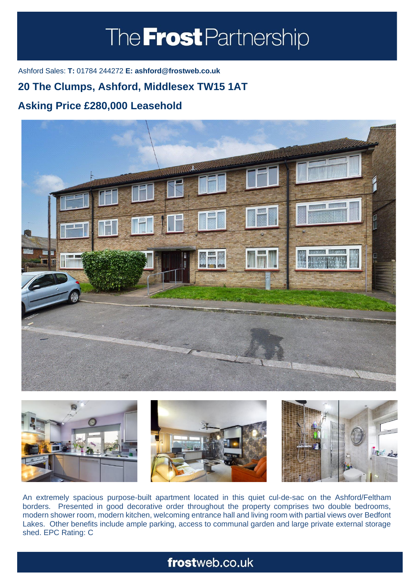# The **Frost** Partnership

Ashford Sales: **T:** 01784 244272 **E: ashford@frostweb.co.uk**

### **20 The Clumps, Ashford, Middlesex TW15 1AT**

#### **Asking Price £280,000 Leasehold (Property.Lettings.RentQual == "PA" ? "Rent on application" : Property.Property.Community.Property.Property.Property.Property.Property.Property.**





An extremely spacious purpose-built apartment located in this quiet cul-de-sac on the Ashford/Feltham borders. Presented in good decorative order throughout the property comprises two double bedrooms, modern shower room, modern kitchen, welcoming entrance hall and living room with partial views over Bedfont Lakes. Other benefits include ample parking, access to communal garden and large private external storage shed. EPC Rating: C

## frostweb.co.uk